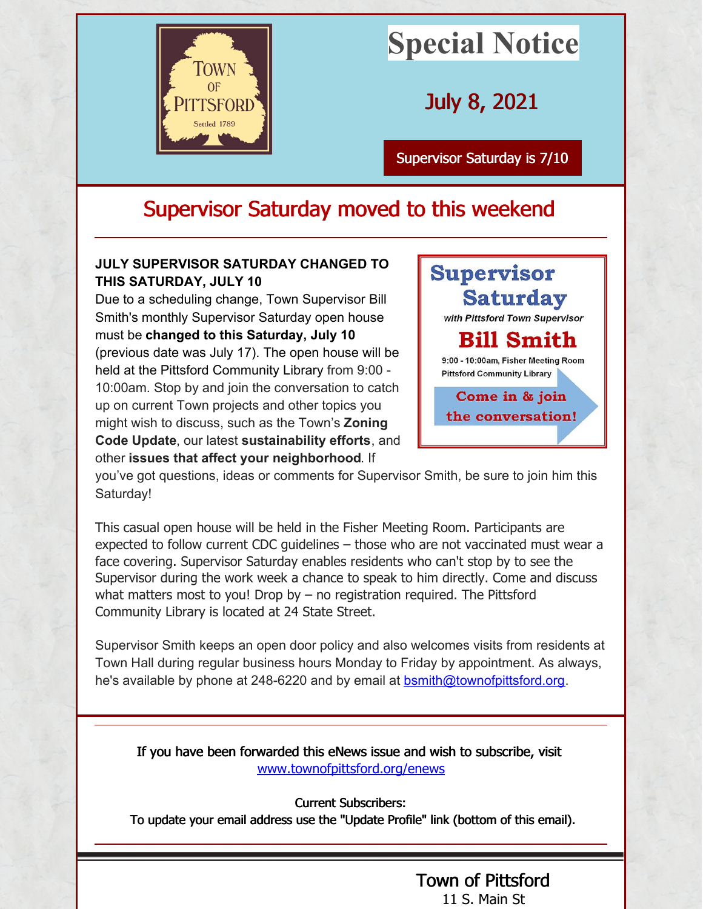

## **Special Notice**

July 8, 2021

[Supervisor](http://www.townofpittsford.org) Saturday is 7/10

## Supervisor Saturday moved to this weekend

## **JULY SUPERVISOR SATURDAY CHANGED TO THIS SATURDAY, JULY 10**

Due to a scheduling change, Town Supervisor Bill Smith's monthly Supervisor Saturday open house must be **changed to this Saturday, July 10** (previous date was July 17). The open house will be held at the Pittsford Community Library from 9:00 - 10:00am. Stop by and join the conversation to catch up on current Town projects and other topics you might wish to discuss, such as the Town's **Zoning Code Update**, our latest **sustainability efforts**, and other **issues that affect your neighborhood**. If



you've got questions, ideas or comments for Supervisor Smith, be sure to join him this Saturday!

This casual open house will be held in the Fisher Meeting Room. Participants are expected to follow current CDC guidelines – those who are not vaccinated must wear a face covering. Supervisor Saturday enables residents who can't stop by to see the Supervisor during the work week a chance to speak to him directly. Come and discuss what matters most to you! Drop by – no registration required. The Pittsford Community Library is located at 24 State Street.

Supervisor Smith keeps an open door policy and also welcomes visits from residents at Town Hall during regular business hours Monday to Friday by appointment. As always, he's available by phone at 248-6220 and by email at [bsmith@townofpittsford.org](mailto:bsmith@townofpittsford.org).

If you have been forwarded this eNews issue and wish to subscribe, visit [www.townofpittsford.org/enews](http://www.townofpittsford.org/enews)

Current Subscribers:

To update your email address use the "Update Profile" link (bottom of this email).

## Town of [Pittsford](http://townofpittsford.org/) 11 S. Main St